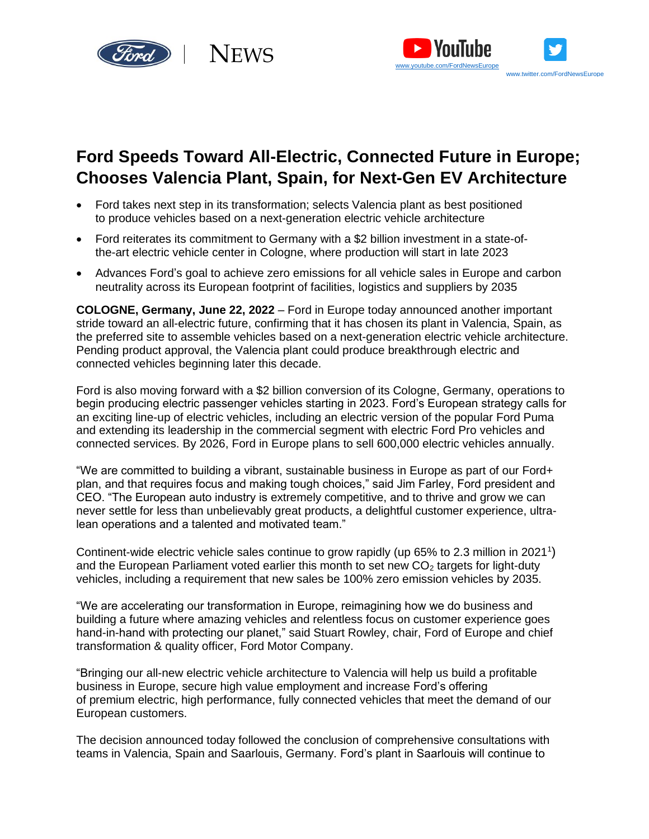



# **Ford Speeds Toward All-Electric, Connected Future in Europe; Chooses Valencia Plant, Spain, for Next-Gen EV Architecture**

- Ford takes next step in its transformation; selects Valencia plant as best positioned to produce vehicles based on a next-generation electric vehicle architecture
- Ford reiterates its commitment to Germany with a \$2 billion investment in a state-ofthe-art electric vehicle center in Cologne, where production will start in late 2023
- Advances Ford's goal to achieve zero emissions for all vehicle sales in Europe and carbon neutrality across its European footprint of facilities, logistics and suppliers by 2035

**COLOGNE, Germany, June 22, 2022** – Ford in Europe today announced another important stride toward an all-electric future, confirming that it has chosen its plant in Valencia, Spain, as the preferred site to assemble vehicles based on a next-generation electric vehicle architecture. Pending product approval, the Valencia plant could produce breakthrough electric and connected vehicles beginning later this decade.

Ford is also moving forward with a \$2 billion conversion of its Cologne, Germany, operations to begin producing electric passenger vehicles starting in 2023. Ford's European strategy calls for an exciting line-up of electric vehicles, including an electric version of the popular Ford Puma and extending its leadership in the commercial segment with electric Ford Pro vehicles and connected services. By 2026, Ford in Europe plans to sell 600,000 electric vehicles annually.

"We are committed to building a vibrant, sustainable business in Europe as part of our Ford+ plan, and that requires focus and making tough choices," said Jim Farley, Ford president and CEO. "The European auto industry is extremely competitive, and to thrive and grow we can never settle for less than unbelievably great products, a delightful customer experience, ultralean operations and a talented and motivated team."

Continent-wide electric vehicle sales continue to grow rapidly (up 65% to 2.3 million in 2021<sup>1</sup>) and the European Parliament voted earlier this month to set new  $CO<sub>2</sub>$  targets for light-duty vehicles, including a requirement that new sales be 100% zero emission vehicles by 2035.

"We are accelerating our transformation in Europe, reimagining how we do business and building a future where amazing vehicles and relentless focus on customer experience goes hand-in-hand with protecting our planet," said Stuart Rowley, chair, Ford of Europe and chief transformation & quality officer, Ford Motor Company.

"Bringing our all-new electric vehicle architecture to Valencia will help us build a profitable business in Europe, secure high value employment and increase Ford's offering of premium electric, high performance, fully connected vehicles that meet the demand of our European customers.

The decision announced today followed the conclusion of comprehensive consultations with teams in Valencia, Spain and Saarlouis, Germany. Ford's plant in Saarlouis will continue to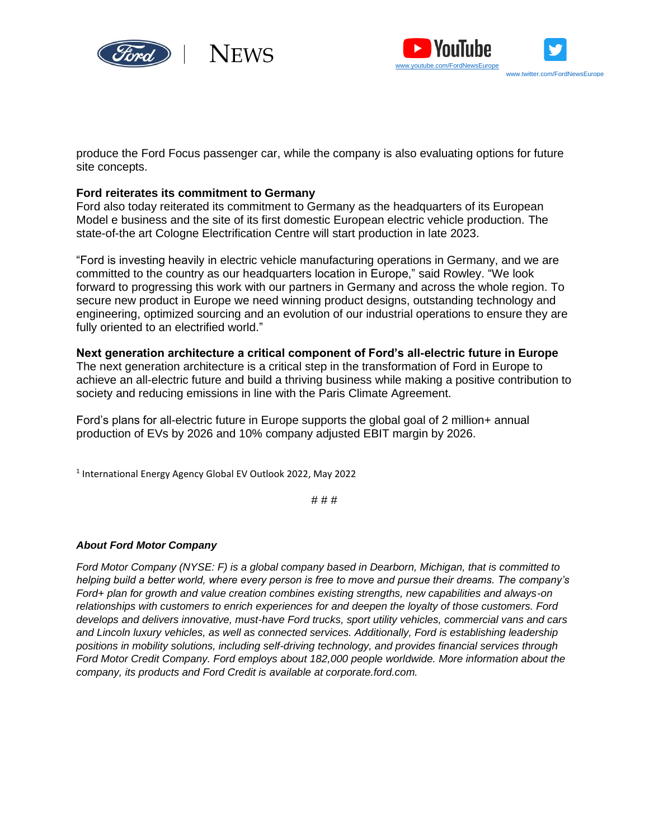



produce the Ford Focus passenger car, while the company is also evaluating options for future site concepts.

## **Ford reiterates its commitment to Germany**

Ford also today reiterated its commitment to Germany as the headquarters of its European [Model e business](https://media.ford.com/content/fordmedia/fna/us/en/news/2022/03/02/ford-accelerating-transformation.html) and the site of its first domestic European electric vehicle production. The state-of-the art Cologne Electrification Centre will start production in late 2023.

"Ford is investing heavily in electric vehicle manufacturing operations in Germany, and we are committed to the country as our headquarters location in Europe," said Rowley. "We look forward to progressing this work with our partners in Germany and across the whole region. To secure new product in Europe we need winning product designs, outstanding technology and engineering, optimized sourcing and an evolution of our industrial operations to ensure they are fully oriented to an electrified world."

### **Next generation architecture a critical component of Ford's all-electric future in Europe**

The next generation architecture is a critical step in the transformation of Ford in Europe to achieve an all-electric future and build a thriving business while making a positive contribution to society and reducing emissions in line with the Paris Climate Agreement.

Ford's plans for all-electric future in Europe supports the global goal of 2 million+ annual production of EVs by 2026 and 10% company adjusted EBIT margin by 2026.

1 International Energy Agency Global EV Outlook 2022, May 2022

# # #

### *About Ford Motor Company*

*Ford Motor Company (NYSE: F) is a global company based in Dearborn, Michigan, that is committed to helping build a better world, where every person is free to move and pursue their dreams. The company's Ford+ plan for growth and value creation combines existing strengths, new capabilities and always-on relationships with customers to enrich experiences for and deepen the loyalty of those customers. Ford develops and delivers innovative, must-have Ford trucks, sport utility vehicles, commercial vans and cars and Lincoln luxury vehicles, as well as connected services. Additionally, Ford is establishing leadership positions in mobility solutions, including self-driving technology, and provides financial services through Ford Motor Credit Company. Ford employs about 182,000 people worldwide. More information about the company, its products and Ford Credit is available at corporate.ford.com.*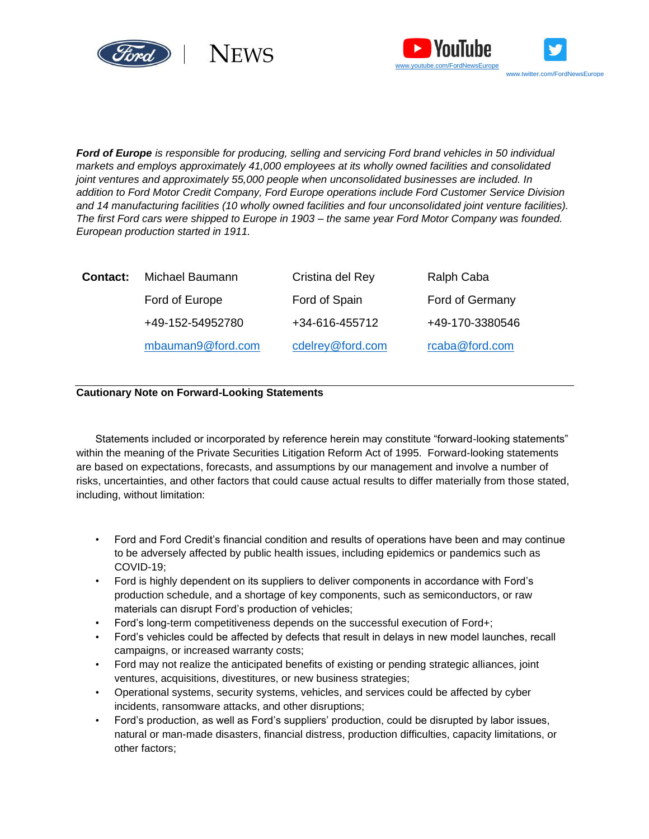



*Ford of Europe is responsible for producing, selling and servicing Ford brand vehicles in 50 individual markets and employs approximately 41,000 employees at its wholly owned facilities and consolidated joint ventures and approximately 55,000 people when unconsolidated businesses are included. In addition to Ford Motor Credit Company, Ford Europe operations include Ford Customer Service Division and 14 manufacturing facilities (10 wholly owned facilities and four unconsolidated joint venture facilities). The first Ford cars were shipped to Europe in 1903 – the same year Ford Motor Company was founded. European production started in 1911.*

| Contact: | Michael Baumann   | Cristina del Rey | Ralph Caba      |
|----------|-------------------|------------------|-----------------|
|          | Ford of Europe    | Ford of Spain    | Ford of Germany |
|          | +49-152-54952780  | +34-616-455712   | +49-170-3380546 |
|          | mbauman9@ford.com | cdelrey@ford.com | rcaba@ford.com  |

#### **Cautionary Note on Forward-Looking Statements**

Statements included or incorporated by reference herein may constitute "forward-looking statements" within the meaning of the Private Securities Litigation Reform Act of 1995. Forward-looking statements are based on expectations, forecasts, and assumptions by our management and involve a number of risks, uncertainties, and other factors that could cause actual results to differ materially from those stated, including, without limitation:

- Ford and Ford Credit's financial condition and results of operations have been and may continue to be adversely affected by public health issues, including epidemics or pandemics such as COVID-19;
- Ford is highly dependent on its suppliers to deliver components in accordance with Ford's production schedule, and a shortage of key components, such as semiconductors, or raw materials can disrupt Ford's production of vehicles;
- Ford's long-term competitiveness depends on the successful execution of Ford+;
- Ford's vehicles could be affected by defects that result in delays in new model launches, recall campaigns, or increased warranty costs;
- Ford may not realize the anticipated benefits of existing or pending strategic alliances, joint ventures, acquisitions, divestitures, or new business strategies;
- Operational systems, security systems, vehicles, and services could be affected by cyber incidents, ransomware attacks, and other disruptions;
- Ford's production, as well as Ford's suppliers' production, could be disrupted by labor issues, natural or man-made disasters, financial distress, production difficulties, capacity limitations, or other factors;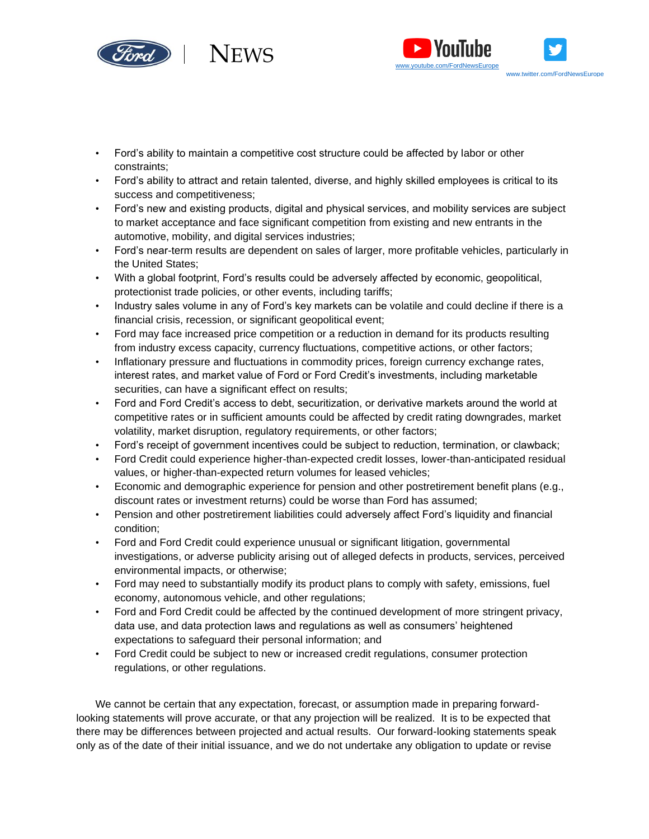



- Ford's ability to maintain a competitive cost structure could be affected by labor or other constraints;
- Ford's ability to attract and retain talented, diverse, and highly skilled employees is critical to its success and competitiveness;
- Ford's new and existing products, digital and physical services, and mobility services are subject to market acceptance and face significant competition from existing and new entrants in the automotive, mobility, and digital services industries;
- Ford's near-term results are dependent on sales of larger, more profitable vehicles, particularly in the United States;
- With a global footprint, Ford's results could be adversely affected by economic, geopolitical, protectionist trade policies, or other events, including tariffs;
- Industry sales volume in any of Ford's key markets can be volatile and could decline if there is a financial crisis, recession, or significant geopolitical event;
- Ford may face increased price competition or a reduction in demand for its products resulting from industry excess capacity, currency fluctuations, competitive actions, or other factors;
- Inflationary pressure and fluctuations in commodity prices, foreign currency exchange rates, interest rates, and market value of Ford or Ford Credit's investments, including marketable securities, can have a significant effect on results;
- Ford and Ford Credit's access to debt, securitization, or derivative markets around the world at competitive rates or in sufficient amounts could be affected by credit rating downgrades, market volatility, market disruption, regulatory requirements, or other factors;
- Ford's receipt of government incentives could be subject to reduction, termination, or clawback;
- Ford Credit could experience higher-than-expected credit losses, lower-than-anticipated residual values, or higher-than-expected return volumes for leased vehicles;
- Economic and demographic experience for pension and other postretirement benefit plans (e.g., discount rates or investment returns) could be worse than Ford has assumed;
- Pension and other postretirement liabilities could adversely affect Ford's liquidity and financial condition;
- Ford and Ford Credit could experience unusual or significant litigation, governmental investigations, or adverse publicity arising out of alleged defects in products, services, perceived environmental impacts, or otherwise;
- Ford may need to substantially modify its product plans to comply with safety, emissions, fuel economy, autonomous vehicle, and other regulations;
- Ford and Ford Credit could be affected by the continued development of more stringent privacy, data use, and data protection laws and regulations as well as consumers' heightened expectations to safeguard their personal information; and
- Ford Credit could be subject to new or increased credit regulations, consumer protection regulations, or other regulations.

We cannot be certain that any expectation, forecast, or assumption made in preparing forwardlooking statements will prove accurate, or that any projection will be realized. It is to be expected that there may be differences between projected and actual results. Our forward-looking statements speak only as of the date of their initial issuance, and we do not undertake any obligation to update or revise